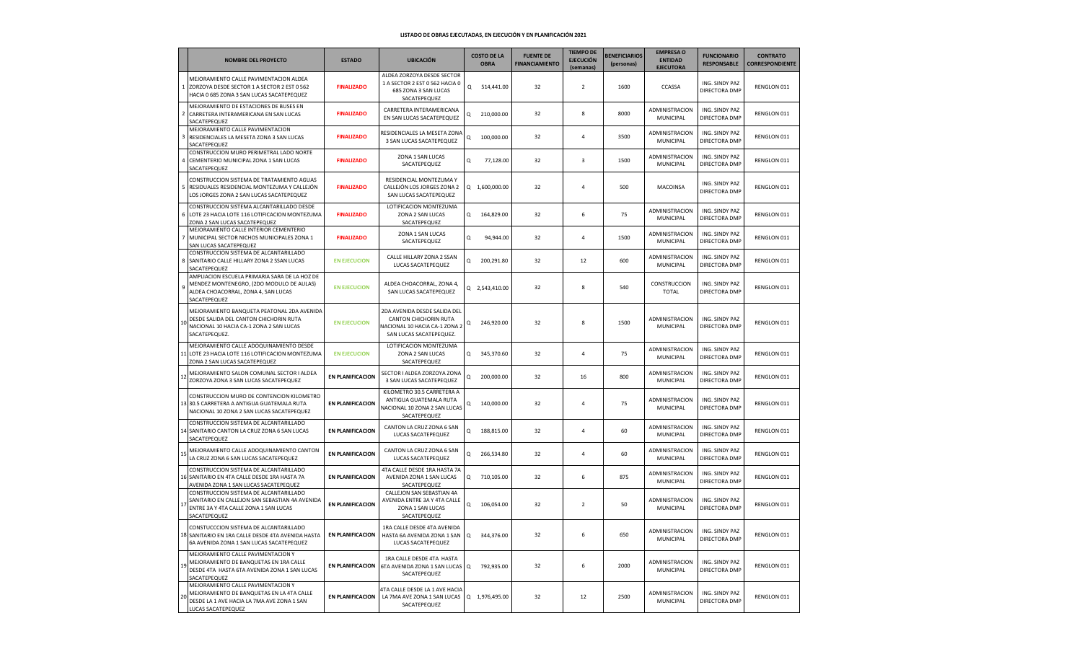|    | <b>NOMBRE DEL PROYECTO</b>                                                                                                                          | <b>ESTADO</b>           | <b>UBICACIÓN</b>                                                                                                  |   | <b>COSTO DE LA</b><br><b>OBRA</b> | <b>FUENTE DE</b><br><b>FINANCIAMIENTO</b> | <b>TIEMPO DE</b><br><b>EJECUCIÓN</b><br>(semanas) | <b>BENEFICIARIOS</b><br>(personas) | <b>EMPRESA O</b><br><b>ENTIDAD</b><br><b>EJECUTORA</b> | <b>FUNCIONARIO</b><br><b>RESPONSABLE</b> | <b>CONTRATO</b><br><b>CORRESPONDIENTE</b> |
|----|-----------------------------------------------------------------------------------------------------------------------------------------------------|-------------------------|-------------------------------------------------------------------------------------------------------------------|---|-----------------------------------|-------------------------------------------|---------------------------------------------------|------------------------------------|--------------------------------------------------------|------------------------------------------|-------------------------------------------|
|    | MEJORAMIENTO CALLE PAVIMENTACION ALDEA<br>1 ZORZOYA DESDE SECTOR 1 A SECTOR 2 EST 0 562<br>HACIA 0 685 ZONA 3 SAN LUCAS SACATEPEQUEZ                | <b>FINALIZADO</b>       | ALDEA ZORZOYA DESDE SECTOR<br>1 A SECTOR 2 EST 0 562 HACIA 0<br>685 ZONA 3 SAN LUCAS<br>SACATEPEQUEZ              | Q | 514,441.00                        | 32                                        | $\overline{2}$                                    | 1600                               | CCASSA                                                 | ING. SINDY PAZ<br>DIRECTORA DMP          | RENGLON 011                               |
|    | MEJORAMIENTO DE ESTACIONES DE BUSES EN<br>2 CARRETERA INTERAMERICANA EN SAN LUCAS<br>SACATEPEQUEZ                                                   | <b>FINALIZADO</b>       | CARRETERA INTERAMERICANA<br>EN SAN LUCAS SACATEPEQUEZ                                                             | Q | 210,000.00                        | 32                                        | 8                                                 | 8000                               | ADMINISTRACION<br>MUNICIPAL                            | ING. SINDY PAZ<br>DIRECTORA DMP          | RENGLON 011                               |
| 3  | MEJORAMIENTO CALLE PAVIMENTACION<br>RESIDENCIALES LA MESETA ZONA 3 SAN LUCAS<br>SACATEPEQUEZ                                                        | <b>FINALIZADO</b>       | RESIDENCIALES LA MESETA ZONA<br>3 SAN LUCAS SACATEPEQUEZ                                                          | Q | 100,000.00                        | 32                                        | 4                                                 | 3500                               | ADMINISTRACION<br>MUNICIPAL                            | ING. SINDY PAZ<br>DIRECTORA DMP          | RENGLON 011                               |
|    | CONSTRUCCION MURO PERIMETRAL LADO NORTE<br>CEMENTERIO MUNICIPAL ZONA 1 SAN LUCAS<br>SACATEPEQUEZ                                                    | <b>FINALIZADO</b>       | ZONA 1 SAN LUCAS<br>SACATEPEQUEZ                                                                                  | Q | 77,128.00                         | 32                                        | 3                                                 | 1500                               | ADMINISTRACION<br>MUNICIPAL                            | ING. SINDY PAZ<br><b>DIRECTORA DMP</b>   | RENGLON 011                               |
| 5  | CONSTRUCCION SISTEMA DE TRATAMIENTO AGUAS<br>RESIDUALES RESIDENCIAL MONTEZUMA Y CALLEJÓN<br>LOS JORGES ZONA 2 SAN LUCAS SACATEPEQUEZ                | <b>FINALIZADO</b>       | RESIDENCIAL MONTEZUMA Y<br>CALLEJÓN LOS JORGES ZONA 2<br>SAN LUCAS SACATEPEQUEZ                                   |   | Q 1,600,000.00                    | 32                                        | $\overline{4}$                                    | 500                                | MACOINSA                                               | ING. SINDY PAZ<br><b>DIRECTORA DMP</b>   | RENGLON 011                               |
|    | CONSTRUCCION SISTEMA ALCANTARILLADO DESDE<br>6 LOTE 23 HACIA LOTE 116 LOTIFICACION MONTEZUMA<br>ZONA 2 SAN LUCAS SACATEPEQUEZ                       | <b>FINALIZADO</b>       | LOTIFICACION MONTEZUMA<br>ZONA 2 SAN LUCAS<br>SACATEPEQUEZ                                                        | Q | 164,829.00                        | 32                                        | 6                                                 | 75                                 | ADMINISTRACION<br>MUNICIPAL                            | ING. SINDY PAZ<br><b>DIRECTORA DMP</b>   | RENGLON 011                               |
|    | MEJORAMIENTO CALLE INTERIOR CEMENTERIO<br>MUNICIPAL SECTOR NICHOS MUNICIPALES ZONA 1<br>SAN LUCAS SACATEPEQUEZ                                      | <b>FINALIZADO</b>       | ZONA 1 SAN LUCAS<br>SACATEPEQUEZ                                                                                  | Q | 94,944.00                         | 32                                        | $\overline{4}$                                    | 1500                               | ADMINISTRACION<br>MUNICIPAL                            | ING. SINDY PAZ<br>DIRECTORA DMP          | RENGLON 011                               |
|    | CONSTRUCCION SISTEMA DE ALCANTARILLADO<br>8 SANITARIO CALLE HILLARY ZONA 2 SSAN LUCAS<br>SACATEPEQUEZ                                               | <b>EN EJECUCION</b>     | CALLE HILLARY ZONA 2 SSAN<br>LUCAS SACATEPEQUEZ                                                                   | Q | 200,291.80                        | 32                                        | 12                                                | 600                                | ADMINISTRACION<br>MUNICIPAL                            | ING. SINDY PAZ<br>DIRECTORA DMP          | RENGLON 011                               |
| 9  | AMPLIACION ESCUELA PRIMARIA SARA DE LA HOZ DE<br>MENDEZ MONTENEGRO, (2DO MODULO DE AULAS)<br>ALDEA CHOACORRAL, ZONA 4, SAN LUCAS<br>SACATEPEQUEZ    | <b>EN EJECUCION</b>     | ALDEA CHOACORRAL, ZONA 4,<br>SAN LUCAS SACATEPEQUEZ                                                               |   | Q 2,543,410.00                    | 32                                        | 8                                                 | 540                                | CONSTRUCCION<br><b>TOTAL</b>                           | ING. SINDY PAZ<br>DIRECTORA DMP          | RENGLON 011                               |
|    | MEJORAMIENTO BANQUETA PEATONAL 2DA AVENIDA<br>DESDE SALIDA DEL CANTON CHICHORIN RUTA<br>NACIONAL 10 HACIA CA-1 ZONA 2 SAN LUCAS<br>SACATEPEQUEZ.    | <b>EN EJECUCION</b>     | 2DA AVENIDA DESDE SALIDA DEL<br>CANTON CHICHORIN RUTA<br>NACIONAL 10 HACIA CA-1 ZONA 2<br>SAN LUCAS SACATEPEQUEZ. | Q | 246,920.00                        | 32                                        | 8                                                 | 1500                               | ADMINISTRACION<br>MUNICIPAL                            | ING. SINDY PAZ<br><b>DIRECTORA DMP</b>   | RENGLON 011                               |
|    | MEJORAMIENTO CALLE ADOQUINAMIENTO DESDE<br>LOTE 23 HACIA LOTE 116 LOTIFICACION MONTEZUMA<br>ZONA 2 SAN LUCAS SACATEPEQUEZ                           | <b>EN EJECUCION</b>     | LOTIFICACION MONTEZUMA<br>ZONA 2 SAN LUCAS<br>SACATEPEQUEZ                                                        | Q | 345,370.60                        | 32                                        | $\overline{4}$                                    | 75                                 | ADMINISTRACION<br>MUNICIPAL                            | ING. SINDY PAZ<br>DIRECTORA DMP          | RENGLON 011                               |
| 11 | MEJORAMIENTO SALON COMUNAL SECTOR I ALDEA<br>ZORZOYA ZONA 3 SAN LUCAS SACATEPEQUEZ                                                                  | <b>EN PLANIFICACION</b> | SECTOR I ALDEA ZORZOYA ZONA<br>3 SAN LUCAS SACATEPEQUEZ                                                           | Q | 200,000.00                        | 32                                        | 16                                                | 800                                | ADMINISTRACION<br>MUNICIPAL                            | ING. SINDY PAZ<br>DIRECTORA DMP          | RENGLON 011                               |
|    | CONSTRUCCION MURO DE CONTENCION KILOMETRO<br>13 30.5 CARRETERA A ANTIGUA GUATEMALA RUTA<br>NACIONAL 10 ZONA 2 SAN LUCAS SACATEPEQUEZ                | <b>EN PLANIFICACION</b> | KILOMETRO 30.5 CARRETERA A<br>ANTIGUA GUATEMALA RUTA<br>NACIONAL 10 ZONA 2 SAN LUCAS<br>SACATEPEQUEZ              | Q | 140,000.00                        | 32                                        | $\overline{4}$                                    | 75                                 | ADMINISTRACION<br>MUNICIPAL                            | ING. SINDY PAZ<br>DIRECTORA DMP          | RENGLON 011                               |
|    | CONSTRUCCION SISTEMA DE ALCANTARILLADO<br>14 SANITARIO CANTON LA CRUZ ZONA 6 SAN LUCAS<br>SACATEPEQUEZ                                              | <b>EN PLANIFICACION</b> | CANTON LA CRUZ ZONA 6 SAN<br>LUCAS SACATEPEQUEZ                                                                   | Q | 188,815.00                        | 32                                        | $\overline{4}$                                    | 60                                 | ADMINISTRACION<br>MUNICIPAL                            | ING. SINDY PAZ<br>DIRECTORA DMP          | RENGLON 011                               |
| 15 | MEJORAMIENTO CALLE ADOQUINAMIENTO CANTON<br>LA CRUZ ZONA 6 SAN LUCAS SACATEPEQUEZ                                                                   | <b>EN PLANIFICACION</b> | CANTON LA CRUZ ZONA 6 SAN<br>LUCAS SACATEPEQUEZ                                                                   | Q | 266,534.80                        | 32                                        | 4                                                 | 60                                 | ADMINISTRACION<br>MUNICIPAL                            | ING. SINDY PAZ<br>DIRECTORA DMP          | RENGLON 011                               |
|    | CONSTRUCCION SISTEMA DE ALCANTARILLADO<br>16 SANITARIO EN 4TA CALLE DESDE 1RA HASTA 7A<br>AVENIDA ZONA 1 SAN LUCAS SACATEPEQUEZ                     | <b>EN PLANIFICACION</b> | 4TA CALLE DESDE 1RA HASTA 7A<br>AVENIDA ZONA 1 SAN LUCAS<br>SACATEPEQUEZ                                          | Q | 710,105.00                        | 32                                        | 6                                                 | 875                                | ADMINISTRACION<br>MUNICIPAL                            | ING. SINDY PAZ<br>DIRECTORA DMP          | RENGLON 011                               |
| 17 | CONSTRUCCION SISTEMA DE ALCANTARILLADO<br>SANITARIO EN CALLEJON SAN SEBASTIAN 4A AVENIDA<br>ENTRE 3A Y 4TA CALLE ZONA 1 SAN LUCAS<br>SACATEPEQUEZ   | <b>EN PLANIFICACION</b> | CALLEJON SAN SEBASTIAN 4A<br>AVENIDA ENTRE 3A Y 4TA CALLE<br>ZONA 1 SAN LUCAS<br>SACATEPEQUEZ                     | Q | 106,054.00                        | 32                                        | $\overline{2}$                                    | 50                                 | ADMINISTRACION<br>MUNICIPAL                            | ING. SINDY PAZ<br>DIRECTORA DMP          | RENGLON 011                               |
|    | CONSTUCCCION SISTEMA DE ALCANTARILLADO<br>18 SANITARIO EN 1RA CALLE DESDE 4TA AVENIDA HASTA<br>6A AVENIDA ZONA 1 SAN LUCAS SACATEPEQUEZ             | <b>EN PLANIFICACION</b> | 1RA CALLE DESDE 4TA AVENIDA<br>HASTA 6A AVENIDA ZONA 1 SAN Q<br>LUCAS SACATEPEQUEZ                                |   | 344,376.00                        | 32                                        | 6                                                 | 650                                | ADMINISTRACION<br><b>MUNICIPAL</b>                     | ING. SINDY PAZ<br>DIRECTORA DMP          | RENGLON 011                               |
| 19 | MEJORAMIENTO CALLE PAVIMENTACION Y<br>MEJORAMIENTO DE BANQUETAS EN 1RA CALLE<br>DESDE 4TA HASTA 6TA AVENIDA ZONA 1 SAN LUCAS<br>SACATEPEQUEZ        | <b>EN PLANIFICACION</b> | 1RA CALLE DESDE 4TA HASTA<br>6TA AVENIDA ZONA 1 SAN LUCAS Q<br>SACATEPEQUEZ                                       |   | 792,935.00                        | 32                                        | 6                                                 | 2000                               | ADMINISTRACION<br>MUNICIPAL                            | ING. SINDY PAZ<br>DIRECTORA DMP          | RENGLON 011                               |
| 20 | MEJORAMIENTO CALLE PAVIMENTACION Y<br>MEJORAMIENTO DE BANQUETAS EN LA 4TA CALLE<br>DESDE LA 1 AVE HACIA LA 7MA AVE ZONA 1 SAN<br>LUCAS SACATEPEQUEZ | <b>EN PLANIFICACION</b> | 4TA CALLE DESDE LA 1 AVE HACIA<br>LA 7MA AVE ZONA 1 SAN LUCAS<br>SACATEPEQUEZ                                     |   | Q 1,976,495.00                    | 32                                        | 12                                                | 2500                               | ADMINISTRACION<br>MUNICIPAL                            | ING. SINDY PAZ<br>DIRECTORA DMP          | RENGLON 011                               |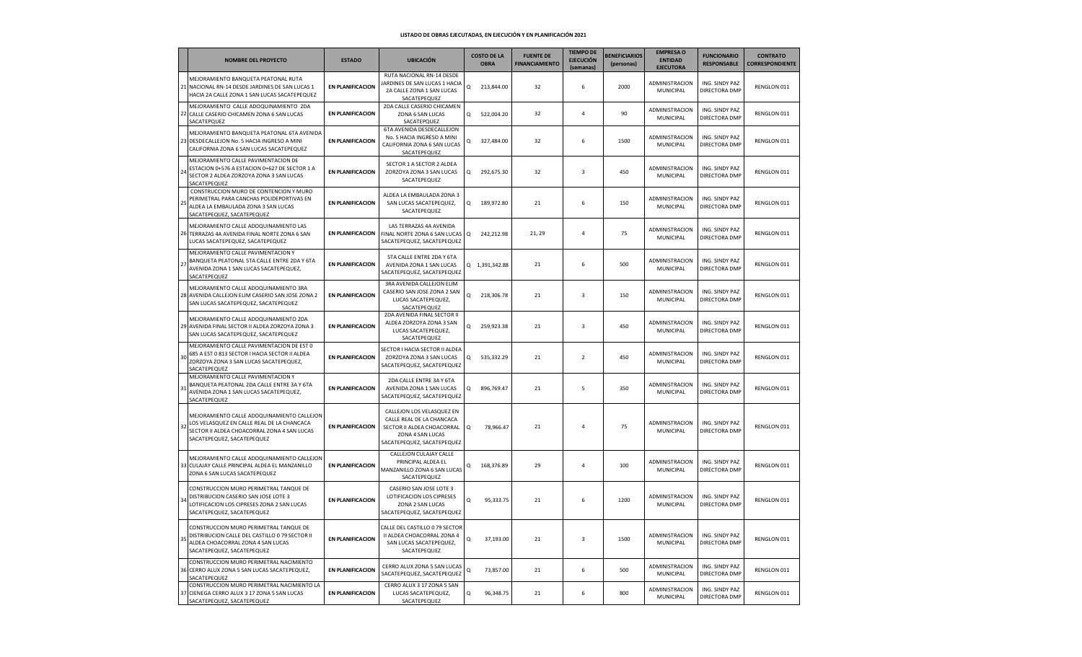|               | <b>NOMBRE DEL PROYECTO</b>                                                                                                                                            | <b>ESTADO</b>           | <b>UBICACIÓN</b>                                                                                                                       |             | <b>COSTO DE LA</b><br><b>OBRA</b> | <b>FUENTE DE</b><br><b>FINANCIAMIENTO</b> | <b>TIEMPO DE</b><br><b>EJECUCIÓN</b><br>(semanas) | <b>BENEFICIARIOS</b><br>(personas) | <b>EMPRESA O</b><br><b>ENTIDAD</b><br><b>EJECUTORA</b> | <b>FUNCIONARIO</b><br><b>RESPONSABLE</b> | <b>CONTRATO</b><br><b>CORRESPONDIENTE</b> |
|---------------|-----------------------------------------------------------------------------------------------------------------------------------------------------------------------|-------------------------|----------------------------------------------------------------------------------------------------------------------------------------|-------------|-----------------------------------|-------------------------------------------|---------------------------------------------------|------------------------------------|--------------------------------------------------------|------------------------------------------|-------------------------------------------|
|               | MEJORAMIENTO BANQUETA PEATONAL RUTA<br>21 NACIONAL RN-14 DESDE JARDINES DE SAN LUCAS 1<br>HACIA 2A CALLE ZONA 1 SAN LUCAS SACATEPEQUEZ                                | <b>EN PLANIFICACION</b> | RUTA NACIONAL RN-14 DESDE<br>JARDINES DE SAN LUCAS 1 HACIA<br>2A CALLE ZONA 1 SAN LUCAS<br>SACATEPEQUEZ                                | Q           | 213,844.00                        | 32                                        | 6                                                 | 2000                               | ADMINISTRACION<br>MUNICIPAL                            | ING. SINDY PAZ<br>DIRECTORA DMP          | RENGLON 011                               |
| 22            | MEJORAMIENTO CALLE ADOQUINAMIENTO 2DA<br>CALLE CASERIO CHICAMEN ZONA 6 SAN LUCAS<br>SACATEPQUEZ                                                                       | <b>EN PLANIFICACION</b> | 2DA CALLE CASERIO CHICAMEN<br>ZONA 6 SAN LUCAS<br>SACATEPQUEZ                                                                          | Q           | 522,004.20                        | 32                                        | $\overline{a}$                                    | 90                                 | ADMINISTRACION<br>MUNICIPAL                            | ING. SINDY PAZ<br>DIRECTORA DMP          | RENGLON 011                               |
|               | MEJORAMIENTO BANQUETA PEATONAL 6TA AVENIDA<br>23 DESDECALLEJON No. 5 HACIA INGRESO A MINI<br>CALIFORNIA ZONA 6 SAN LUCAS SACATEPEQUEZ                                 | <b>EN PLANIFICACION</b> | 6TA AVENIDA DESDECALLEJON<br>No. 5 HACIA INGRESO A MINI<br>CALIFORNIA ZONA 6 SAN LUCAS<br>SACATEPEQUEZ                                 | $\alpha$    | 327,484.00                        | 32                                        | 6                                                 | 1500                               | ADMINISTRACION<br>MUNICIPAL                            | ING. SINDY PAZ<br>DIRECTORA DMP          | RENGLON 011                               |
|               | MEJORAMIENTO CALLE PAVIMENTACION DE<br>ESTACION 0+576 A ESTACION 0+627 DE SECTOR 1 A<br>SECTOR 2 ALDEA ZORZOYA ZONA 3 SAN LUCAS<br>SACATEPEQUEZ                       | <b>EN PLANIFICACION</b> | SECTOR 1 A SECTOR 2 ALDEA<br>ZORZOYA ZONA 3 SAN LUCAS<br>SACATEPEQUEZ                                                                  | $\Omega$    | 292,675.30                        | 32                                        | $\overline{\mathbf{3}}$                           | 450                                | ADMINISTRACION<br>MUNICIPAL                            | ING. SINDY PAZ<br>DIRECTORA DMP          | RENGLON 011                               |
| $\mathcal{P}$ | CONSTRUCCION MURO DE CONTENCION Y MURO<br>PERIMETRAL PARA CANCHAS POLIDEPORTIVAS EN<br>ALDEA LA EMBAULADA ZONA 3 SAN LUCAS<br>SACATEPEQUEZ, SACATEPEQUEZ              | <b>EN PLANIFICACION</b> | ALDEA LA EMBAULADA ZONA 3<br>SAN LUCAS SACATEPEQUEZ,<br>SACATEPEQUEZ                                                                   | Q           | 189,972.80                        | 21                                        | 6                                                 | 150                                | <b>ADMINISTRACION</b><br>MUNICIPAL                     | ING. SINDY PAZ<br>DIRECTORA DMP          | RENGLON 011                               |
| 26            | MEJORAMIENTO CALLE ADOQUINAMIENTO LAS<br>TERRAZAS 4A AVENIDA FINAL NORTE ZONA 6 SAN<br>LUCAS SACATEPEQUEZ, SACATEPEQUEZ                                               | <b>EN PLANIFICACION</b> | LAS TERRAZAS 4A AVENIDA<br>FINAL NORTE ZONA 6 SAN LUCAS<br>SACATEPEQUEZ, SACATEPEQUEZ                                                  | $\mathsf q$ | 242,212.98                        | 21, 29                                    | $\overline{a}$                                    | 75                                 | ADMINISTRACION<br>MUNICIPAL                            | ING. SINDY PAZ<br>DIRECTORA DMP          | RENGLON 011                               |
| 27            | MEJORAMIENTO CALLE PAVIMENTACION Y<br>BANQUETA PEATONAL 5TA CALLE ENTRE 2DA Y 6TA<br>AVENIDA ZONA 1 SAN LUCAS SACATEPEQUEZ,<br>SACATEPEQUEZ                           | <b>EN PLANIFICACION</b> | 5TA CALLE ENTRE 2DA Y 6TA<br>AVENIDA ZONA 1 SAN LUCAS<br>SACATEPEQUEZ, SACATEPEQUEZ                                                    |             | Q 1,391,342.88                    | 21                                        | 6                                                 | 500                                | ADMINISTRACION<br>MUNICIPAL                            | ING. SINDY PAZ<br>DIRECTORA DMP          | RENGLON 011                               |
| 28            | MEJORAMIENTO CALLE ADOQUINAMIENTO 3RA<br>AVENIDA CALLEJON ELIM CASERIO SAN JOSE ZONA 2<br>SAN LUCAS SACATEPEQUEZ, SACATEPEQUEZ                                        | <b>EN PLANIFICACION</b> | 3RA AVENIDA CALLEJON ELIM<br>CASERIO SAN JOSE ZONA 2 SAN<br>LUCAS SACATEPEQUEZ,<br>SACATEPEQUEZ                                        | $\Omega$    | 218,306.78                        | 21                                        | $\overline{\mathbf{3}}$                           | 150                                | ADMINISTRACION<br>MUNICIPAL                            | ING. SINDY PAZ<br>DIRECTORA DMP          | RENGLON 011                               |
| 29            | MEJORAMIENTO CALLE ADOQUINAMIENTO 2DA<br>AVENIDA FINAL SECTOR II ALDEA ZORZOYA ZONA 3<br>SAN LUCAS SACATEPEQUEZ, SACATEPEQUEZ                                         | <b>EN PLANIFICACION</b> | 2DA AVENIDA FINAL SECTOR II<br>ALDEA ZORZOYA ZONA 3 SAN<br>LUCAS SACATEPEQUEZ,<br>SACATEPEQUEZ                                         | $\alpha$    | 259,923.38                        | 21                                        | 3                                                 | 450                                | ADMINISTRACION<br>MUNICIPAL                            | ING. SINDY PAZ<br>DIRECTORA DMP          | RENGLON 011                               |
| 30            | MEJORAMIENTO CALLE PAVIMENTACION DE EST 0<br>685 A EST 0 813 SECTOR I HACIA SECTOR II ALDEA<br>ZORZOYA ZONA 3 SAN LUCAS SACATEPEQUEZ,<br>SACATEPEQUEZ                 | <b>EN PLANIFICACION</b> | SECTOR I HACIA SECTOR II ALDEA<br>ZORZOYA ZONA 3 SAN LUCAS<br>SACATEPEQUEZ, SACATEPEQUEZ                                               | $\alpha$    | 535,332.29                        | 21                                        | $\overline{2}$                                    | 450                                | ADMINISTRACION<br>MUNICIPAL                            | ING. SINDY PAZ<br>DIRECTORA DMP          | RENGLON 011                               |
|               | MEJORAMIENTO CALLE PAVIMENTACION Y<br>BANQUETA PEATONAL 2DA CALLE ENTRE 3A Y 6TA<br>AVENIDA ZONA 1 SAN LUCAS SACATEPEQUEZ,<br>SACATEPEQUEZ                            | <b>EN PLANIFICACION</b> | 2DA CALLE ENTRE 3A Y 6TA<br>AVENIDA ZONA 1 SAN LUCAS<br>SACATEPEQUEZ, SACATEPEQUEZ                                                     | Q           | 896,769.47                        | 21                                        | 5                                                 | 350                                | ADMINISTRACION<br>MUNICIPAL                            | ING. SINDY PAZ<br>DIRECTORA DMP          | RENGLON 011                               |
|               | MEJORAMIENTO CALLE ADOQUINAMIENTO CALLEJON<br>LOS VELASQUEZ EN CALLE REAL DE LA CHANCACA<br>SECTOR II ALDEA CHOACORRAL ZONA 4 SAN LUCAS<br>SACATEPEQUEZ, SACATEPEQUEZ | <b>EN PLANIFICACION</b> | CALLEJON LOS VELASQUEZ EN<br>CALLE REAL DE LA CHANCACA<br>SECTOR II ALDEA CHOACORRAL<br>ZONA 4 SAN LUCAS<br>SACATEPEQUEZ, SACATEPEQUEZ | Q           | 78,966.47                         | 21                                        | $\overline{4}$                                    | 75                                 | ADMINISTRACION<br>MUNICIPAL                            | ING. SINDY PAZ<br>DIRECTORA DMP          | RENGLON 011                               |
| 33            | MEJORAMIENTO CALLE ADOQUINAMIENTO CALLEJON<br>CULAJAY CALLE PRINCIPAL ALDEA EL MANZANILLO<br>ZONA 6 SAN LUCAS SACATEPEQUEZ                                            | <b>EN PLANIFICACION</b> | CALLEJON CULAJAY CALLE<br>PRINCIPAL ALDEA EL<br>MANZANILLO ZONA 6 SAN LUCAS<br>SACATEPEQUEZ                                            | Q           | 168,376.89                        | 29                                        | $\overline{4}$                                    | 100                                | ADMINISTRACION<br>MUNICIPAL                            | ING. SINDY PAZ<br>DIRECTORA DMP          | RENGLON 011                               |
|               | CONSTRUCCION MURO PERIMETRAL TANQUE DE<br>DISTRIBUCION CASERIO SAN JOSE LOTE 3<br>LOTIFICACION LOS CIPRESES ZONA 2 SAN LUCAS<br>SACATEPEQUEZ, SACATEPEQUEZ            | <b>EN PLANIFICACION</b> | CASERIO SAN JOSE LOTE 3<br>LOTIFICACION LOS CIPRESES<br>ZONA 2 SAN LUCAS<br>SACATEPEQUEZ, SACATEPEQUEZ                                 | $\Omega$    | 95,333.75                         | 21                                        | 6                                                 | 1200                               | <b>ADMINISTRACION</b><br>MUNICIPAL                     | ING. SINDY PAZ<br>DIRECTORA DMP          | RENGLON 011                               |
|               | CONSTRUCCION MURO PERIMETRAL TANQUE DE<br>DISTRIBUCION CALLE DEL CASTILLO 0 79 SECTOR II<br>ALDEA CHOACORRAL ZONA 4 SAN LUCAS<br>SACATEPEQUEZ, SACATEPEQUEZ           | <b>EN PLANIFICACION</b> | CALLE DEL CASTILLO 0 79 SECTOR<br>II ALDEA CHOACORRAL ZONA 4<br>SAN LUCAS SACATEPEQUEZ,<br>SACATEPEQUEZ                                | Q           | 37,193.00                         | 21                                        | 3                                                 | 1500                               | ADMINISTRACION<br>MUNICIPAL                            | ING. SINDY PAZ<br>DIRECTORA DMP          | RENGLON 011                               |
| 36            | CONSTRUCCION MURO PERIMETRAL NACIMIENTO<br>CERRO ALUX ZONA 5 SAN LUCAS SACATEPEQUEZ,<br>SACATEPEQUEZ                                                                  | <b>EN PLANIFICACION</b> | CERRO ALUX ZONA 5 SAN LUCAS<br>SACATEPEQUEZ, SACATEPEQUEZ                                                                              | Q           | 73,857.00                         | 21                                        | 6                                                 | 500                                | ADMINISTRACION<br>MUNICIPAL                            | ING. SINDY PAZ<br>DIRECTORA DMP          | RENGLON 011                               |
| 37            | CONSTRUCCION MURO PERIMETRAL NACIMIENTO LA<br>CIENEGA CERRO ALUX 3 17 ZONA 5 SAN LUCAS<br>SACATEPEQUEZ, SACATEPEQUEZ                                                  | <b>EN PLANIFICACION</b> | CERRO ALUX 3 17 ZONA 5 SAN<br>LUCAS SACATEPEQUEZ,<br>SACATEPEQUEZ                                                                      | Q           | 96,348.75                         | 21                                        | 6                                                 | 800                                | ADMINISTRACION<br>MUNICIPAL                            | ING. SINDY PAZ<br>DIRECTORA DMP          | RENGLON 011                               |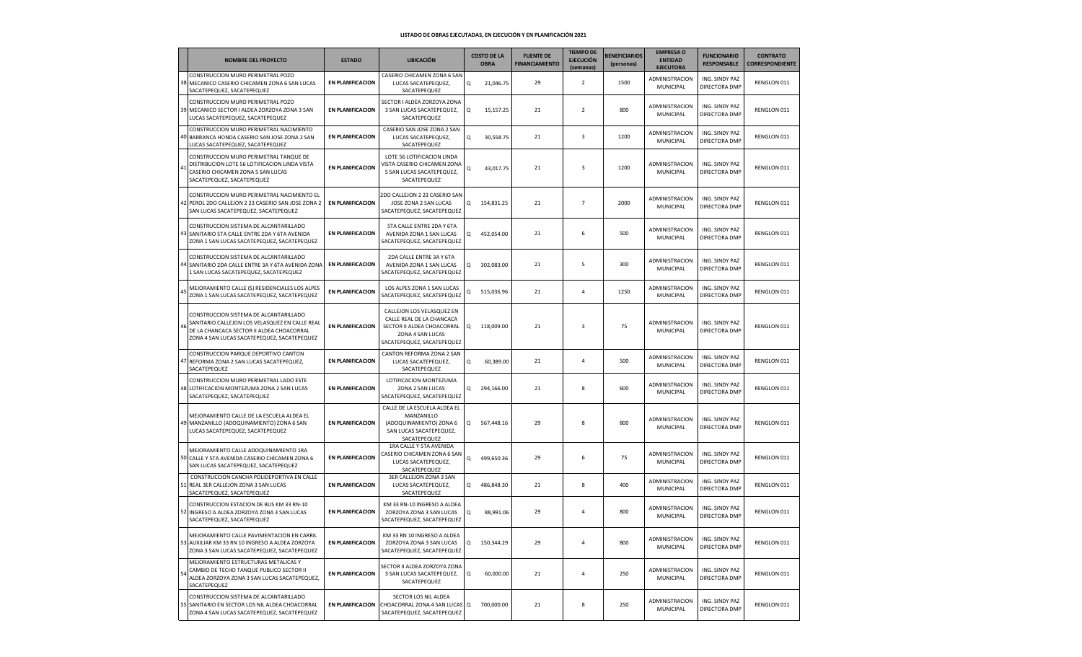|    | <b>NOMBRE DEL PROYECTO</b>                                                                                                                                                           | <b>ESTADO</b>           | <b>UBICACIÓN</b>                                                                                                                       |          | <b>COSTO DE LA</b><br><b>OBRA</b> | <b>FUENTE DE</b><br><b>FINANCIAMIENTO</b> | <b>TIEMPO DE</b><br><b>EJECUCIÓN</b><br>(semanas) | <b>BENEFICIARIOS</b><br>(personas) | <b>EMPRESA O</b><br><b>ENTIDAD</b><br><b>EJECUTORA</b> | <b>FUNCIONARIO</b><br><b>RESPONSABLE</b> | <b>CONTRATO</b><br><b>CORRESPONDIENTE</b> |
|----|--------------------------------------------------------------------------------------------------------------------------------------------------------------------------------------|-------------------------|----------------------------------------------------------------------------------------------------------------------------------------|----------|-----------------------------------|-------------------------------------------|---------------------------------------------------|------------------------------------|--------------------------------------------------------|------------------------------------------|-------------------------------------------|
|    | CONSTRUCCION MURO PERIMETRAL POZO<br>38 MECANICO CASERIO CHICAMEN ZONA 6 SAN LUCAS<br>SACATEPEQUEZ, SACATEPEQUEZ                                                                     | <b>EN PLANIFICACION</b> | CASERIO CHICAMEN ZONA 6 SAN<br>LUCAS SACATEPEQUEZ,<br>SACATEPEQUEZ                                                                     | Q        | 21,046.75                         | 29                                        | $\overline{2}$                                    | 1500                               | ADMINISTRACION<br>MUNICIPAL                            | ING. SINDY PAZ<br>DIRECTORA DMP          | RENGLON 011                               |
|    | CONSTRUCCION MURO PERIMETRAL POZO<br>39 MECANICO SECTOR I ALDEA ZORZOYA ZONA 3 SAN<br>LUCAS SACATEPEQUEZ, SACATEPEQUEZ                                                               | <b>EN PLANIFICACION</b> | SECTOR I ALDEA ZORZOYA ZONA<br>3 SAN LUCAS SACATEPEQUEZ,<br>SACATEPEQUEZ                                                               | Q        | 15,157.25                         | 21                                        | $\overline{2}$                                    | 800                                | ADMINISTRACION<br>MUNICIPAL                            | ING. SINDY PAZ<br>DIRECTORA DMP          | RENGLON 011                               |
| 40 | CONSTRUCCION MURO PERIMETRAL NACIMIENTO<br>BARRANCA HONDA CASERIO SAN JOSE ZONA 2 SAN<br>LUCAS SACATEPEQUEZ, SACATEPEQUEZ                                                            | <b>EN PLANIFICACION</b> | CASERIO SAN JOSE ZONA 2 SAN<br>LUCAS SACATEPEQUEZ,<br>SACATEPEQUEZ                                                                     | Q        | 30,558.75                         | 21                                        | 3                                                 | 1200                               | ADMINISTRACION<br>MUNICIPAL                            | ING. SINDY PAZ<br>DIRECTORA DMP          | RENGLON 011                               |
| 41 | CONSTRUCCION MURO PERIMETRAL TANQUE DE<br>DISTRIBUCION LOTE 56 LOTIFICACION LINDA VISTA<br>CASERIO CHICAMEN ZONA 5 SAN LUCAS<br>SACATEPEQUEZ, SACATEPEQUEZ                           | <b>EN PLANIFICACION</b> | LOTE 56 LOTIFICACION LINDA<br>VISTA CASERIO CHICAMEN ZONA<br>5 SAN LUCAS SACATEPEQUEZ,<br>SACATEPEQUEZ                                 | Q        | 43,017.75                         | 21                                        | 3                                                 | 1200                               | ADMINISTRACION<br>MUNICIPAL                            | ING. SINDY PAZ<br>DIRECTORA DMP          | RENGLON 011                               |
|    | CONSTRUCCION MURO PERIMETRAL NACIMIENTO EL<br>42 PEROL 2DO CALLEJON 2 23 CASERIO SAN JOSE ZONA 2<br>SAN LUCAS SACATEPEQUEZ, SACATEPEQUEZ                                             | <b>EN PLANIFICACION</b> | 2DO CALLEJON 2 23 CASERIO SAN<br>JOSE ZONA 2 SAN LUCAS<br>SACATEPEQUEZ, SACATEPEQUEZ                                                   | Q        | 154,831.25                        | 21                                        | $\overline{7}$                                    | 2000                               | ADMINISTRACION<br>MUNICIPAL                            | ING. SINDY PAZ<br>DIRECTORA DMP          | RENGLON 011                               |
|    | CONSTRUCCION SISTEMA DE ALCANTARILLADO<br>43 SANITARIO 5TA CALLE ENTRE 2DA Y 6TA AVENIDA<br>ZONA 1 SAN LUCAS SACATEPEQUEZ, SACATEPEQUEZ                                              | <b>EN PLANIFICACION</b> | 5TA CALLE ENTRE 2DA Y 6TA<br>AVENIDA ZONA 1 SAN LUCAS<br>SACATEPEQUEZ, SACATEPEQUEZ                                                    | Q        | 452,054.00                        | 21                                        | 6                                                 | 500                                | ADMINISTRACION<br>MUNICIPAL                            | ING. SINDY PAZ<br>DIRECTORA DMP          | RENGLON 011                               |
|    | CONSTRUCCION SISTEMA DE ALCANTARILLADO<br>44 SANITARIO 2DA CALLE ENTRE 3A Y 6TA AVENIDA ZONA<br>1 SAN LUCAS SACATEPEQUEZ, SACATEPEQUEZ                                               | <b>EN PLANIFICACION</b> | 2DA CALLE ENTRE 3A Y 6TA<br>AVENIDA ZONA 1 SAN LUCAS<br>SACATEPEQUEZ, SACATEPEQUEZ                                                     | Q        | 302,083.00                        | 21                                        | 5                                                 | 300                                | ADMINISTRACION<br>MUNICIPAL                            | ING. SINDY PAZ<br>DIRECTORA DMP          | RENGLON 011                               |
|    | MEJORAMIENTO CALLE (S) RESIDENCIALES LOS ALPES<br>ZONA 1 SAN LUCAS SACATEPEQUEZ, SACATEPEQUEZ                                                                                        | <b>EN PLANIFICACION</b> | LOS ALPES ZONA 1 SAN LUCAS<br>SACATEPEQUEZ, SACATEPEQUEZ                                                                               | Q        | 515,036.96                        | 21                                        | $\overline{4}$                                    | 1250                               | ADMINISTRACION<br>MUNICIPAL                            | ING. SINDY PAZ<br>DIRECTORA DMP          | RENGLON 011                               |
| 46 | CONSTRUCCION SISTEMA DE ALCANTARILLADO<br>SANITARIO CALLEJON LOS VELASQUEZ EN CALLE REAL<br>DE LA CHANCACA SECTOR II ALDEA CHOACORRAL<br>ZONA 4 SAN LUCAS SACATEPEQUEZ, SACATEPEQUEZ | <b>EN PLANIFICACION</b> | CALLEJON LOS VELASQUEZ EN<br>CALLE REAL DE LA CHANCACA<br>SECTOR II ALDEA CHOACORRAL<br>ZONA 4 SAN LUCAS<br>SACATEPEQUEZ, SACATEPEQUEZ | $\Omega$ | 118,009.00                        | 21                                        | 3                                                 | 75                                 | ADMINISTRACION<br>MUNICIPAL                            | ING. SINDY PAZ<br>DIRECTORA DMP          | RENGLON 011                               |
| 47 | CONSTRUCCION PARQUE DEPORTIVO CANTON<br>REFORMA ZONA 2 SAN LUCAS SACATEPEQUEZ,<br>SACATEPEQUEZ                                                                                       | <b>EN PLANIFICACION</b> | CANTON REFORMA ZONA 2 SAN<br>LUCAS SACATEPEQUEZ,<br>SACATEPEQUEZ                                                                       | Q        | 60,389.00                         | 21                                        | $\overline{4}$                                    | 500                                | ADMINISTRACION<br>MUNICIPAL                            | ING. SINDY PAZ<br>DIRECTORA DMP          | RENGLON 011                               |
|    | CONSTRUCCION MURO PERIMETRAL LADO ESTE<br>48 LOTIFICACION MONTEZUMA ZONA 2 SAN LUCAS<br>SACATEPEQUEZ, SACATEPEQUEZ                                                                   | <b>EN PLANIFICACION</b> | LOTIFICACION MONTEZUMA<br>ZONA 2 SAN LUCAS<br>SACATEPEQUEZ, SACATEPEQUEZ                                                               | Q        | 294,166.00                        | 21                                        | 8                                                 | 600                                | ADMINISTRACION<br>MUNICIPAL                            | ING. SINDY PAZ<br>DIRECTORA DMP          | RENGLON 011                               |
|    | MEJORAMIENTO CALLE DE LA ESCUELA ALDEA EL<br>49 MANZANILLO (ADOQUINAMIENTO) ZONA 6 SAN<br>LUCAS SACATEPEQUEZ, SACATEPEQUEZ                                                           | <b>EN PLANIFICACION</b> | CALLE DE LA ESCUELA ALDEA EL<br>MANZANILLO<br>(ADOQUINAMIENTO) ZONA 6<br>SAN LUCAS SACATEPEQUEZ,<br>SACATEPEQUEZ                       | Q        | 567,448.16                        | 29                                        | 8                                                 | 800                                | ADMINISTRACION<br>MUNICIPAL                            | ING. SINDY PAZ<br>DIRECTORA DMP          | RENGLON 011                               |
|    | MEJORAMIENTO CALLE ADOQUINAMIENTO 1RA<br>50 CALLE Y 5TA AVENIDA CASERIO CHICAMEN ZONA 6<br>SAN LUCAS SACATEPEQUEZ, SACATEPEQUEZ                                                      | <b>EN PLANIFICACION</b> | 1RA CALLE Y 5TA AVENIDA<br>CASERIO CHICAMEN ZONA 6 SAN<br>LUCAS SACATEPEQUEZ,<br>SACATEPEQUEZ                                          | Q        | 499,650.36                        | 29                                        | 6                                                 | 75                                 | ADMINISTRACION<br>MUNICIPAL                            | ING. SINDY PAZ<br>DIRECTORA DMP          | RENGLON 011                               |
| 51 | CONSTRUCCION CANCHA POLIDEPORTIVA EN CALLE<br>REAL 3ER CALLEJON ZONA 3 SAN LUCAS<br>SACATEPEQUEZ, SACATEPEQUEZ                                                                       | <b>EN PLANIFICACION</b> | 3ER CALLEJON ZONA 3 SAN<br>LUCAS SACATEPEQUEZ,<br>SACATEPEQUEZ                                                                         | Q        | 486,848.30                        | 21                                        | 8                                                 | 400                                | ADMINISTRACION<br>MUNICIPAL                            | ING. SINDY PAZ<br>DIRECTORA DMP          | RENGLON 011                               |
|    | CONSTRUCCION ESTACION DE BUS KM 33 RN-10<br>52 INGRESO A ALDEA ZORZOYA ZONA 3 SAN LUCAS<br>SACATEPEQUEZ, SACATEPEQUEZ                                                                | <b>EN PLANIFICACION</b> | KM 33 RN-10 INGRESO A ALDEA<br>ZORZOYA ZONA 3 SAN LUCAS<br>SACATEPEQUEZ, SACATEPEQUEZ                                                  | Q        | 88,991.06                         | 29                                        | $\overline{4}$                                    | 800                                | ADMINISTRACION<br>MUNICIPAL                            | ING. SINDY PAZ<br>DIRECTORA DMP          | RENGLON 011                               |
|    | MEJORAMIENTO CALLE PAVIMENTACION EN CARRIL<br>53 AUXILIAR KM 33 RN 10 INGRESO A ALDEA ZORZOYA<br>ZONA 3 SAN LUCAS SACATEPEQUEZ, SACATEPEQUEZ                                         | <b>EN PLANIFICACION</b> | KM 33 RN 10 INGRESO A ALDEA<br>ZORZOYA ZONA 3 SAN LUCAS<br>SACATEPEQUEZ, SACATEPEQUEZ                                                  | Q        | 150,344.29                        | 29                                        | $\overline{4}$                                    | 800                                | ADMINISTRACION<br>MUNICIPAL                            | ING. SINDY PAZ<br>DIRECTORA DMP          | RENGLON 011                               |
| 54 | MEJORAMIENTO ESTRUCTURAS METALICAS Y<br>CAMBIO DE TECHO TANQUE PUBLICO SECTOR II<br>ALDEA ZORZOYA ZONA 3 SAN LUCAS SACATEPEQUEZ,<br>SACATEPEQUEZ                                     | <b>EN PLANIFICACION</b> | SECTOR II ALDEA ZORZOYA ZONA<br>3 SAN LUCAS SACATEPEQUEZ,<br>SACATEPEQUEZ                                                              | Q        | 60,000.00                         | 21                                        | $\overline{4}$                                    | 250                                | ADMINISTRACION<br>MUNICIPAL                            | ING. SINDY PAZ<br>DIRECTORA DMP          | RENGLON 011                               |
|    | CONSTRUCCION SISTEMA DE ALCANTARILLADO<br>55 SANITARIO EN SECTOR LOS NIL ALDEA CHOACORRAL<br>ZONA 4 SAN LUCAS SACATEPEQUEZ, SACATEPEQUEZ                                             | <b>EN PLANIFICACION</b> | SECTOR LOS NIL ALDEA<br>CHOACORRAL ZONA 4 SAN LUCAS Q<br>SACATEPEQUEZ, SACATEPEQUEZ                                                    |          | 700,000.00                        | 21                                        | 8                                                 | 250                                | ADMINISTRACION<br>MUNICIPAL                            | ING. SINDY PAZ<br>DIRECTORA DMP          | RENGLON 011                               |